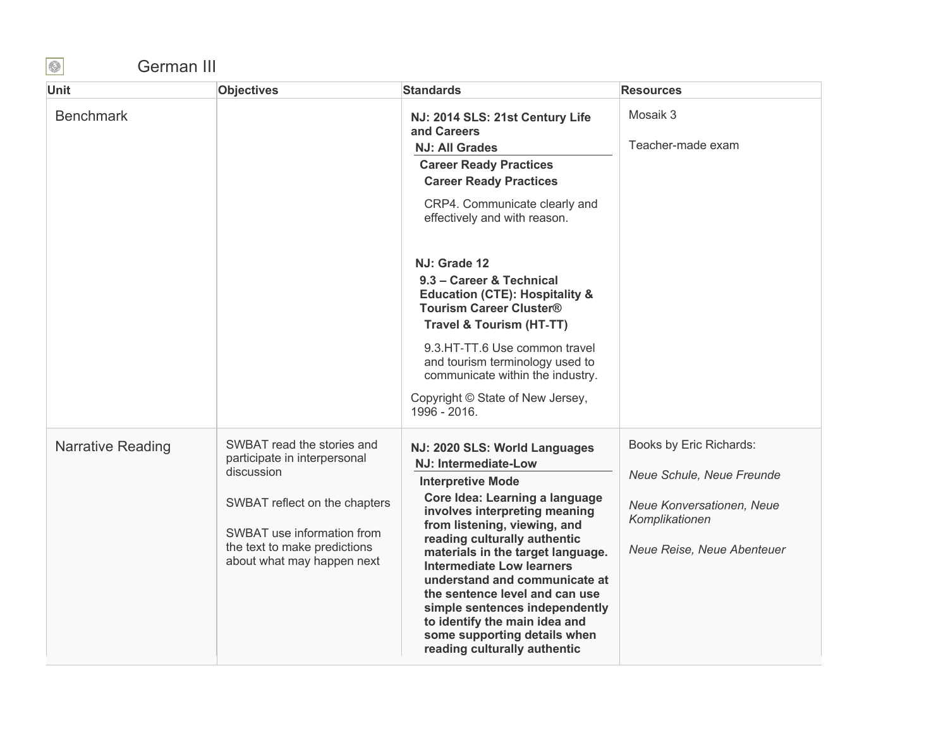## German III

| Unit                     | <b>Objectives</b>                                                                                                                                                                                     | <b>Standards</b>                                                                                                                                                                                                                                                                                                                                                                                                                                                                                           | <b>Resources</b>                                                                                                                  |
|--------------------------|-------------------------------------------------------------------------------------------------------------------------------------------------------------------------------------------------------|------------------------------------------------------------------------------------------------------------------------------------------------------------------------------------------------------------------------------------------------------------------------------------------------------------------------------------------------------------------------------------------------------------------------------------------------------------------------------------------------------------|-----------------------------------------------------------------------------------------------------------------------------------|
| <b>Benchmark</b>         |                                                                                                                                                                                                       | NJ: 2014 SLS: 21st Century Life<br>and Careers<br><b>NJ: All Grades</b><br><b>Career Ready Practices</b><br><b>Career Ready Practices</b><br>CRP4. Communicate clearly and<br>effectively and with reason.                                                                                                                                                                                                                                                                                                 | Mosaik 3<br>Teacher-made exam                                                                                                     |
|                          |                                                                                                                                                                                                       | NJ: Grade 12<br>9.3 - Career & Technical<br><b>Education (CTE): Hospitality &amp;</b><br><b>Tourism Career Cluster®</b><br><b>Travel &amp; Tourism (HT-TT)</b><br>9.3.HT-TT.6 Use common travel<br>and tourism terminology used to<br>communicate within the industry.<br>Copyright © State of New Jersey,<br>1996 - 2016.                                                                                                                                                                                 |                                                                                                                                   |
| <b>Narrative Reading</b> | SWBAT read the stories and<br>participate in interpersonal<br>discussion<br>SWBAT reflect on the chapters<br>SWBAT use information from<br>the text to make predictions<br>about what may happen next | NJ: 2020 SLS: World Languages<br><b>NJ: Intermediate-Low</b><br><b>Interpretive Mode</b><br>Core Idea: Learning a language<br>involves interpreting meaning<br>from listening, viewing, and<br>reading culturally authentic<br>materials in the target language.<br><b>Intermediate Low learners</b><br>understand and communicate at<br>the sentence level and can use<br>simple sentences independently<br>to identify the main idea and<br>some supporting details when<br>reading culturally authentic | Books by Eric Richards:<br>Neue Schule, Neue Freunde<br>Neue Konversationen, Neue<br>Komplikationen<br>Neue Reise, Neue Abenteuer |

 $\bigcirc$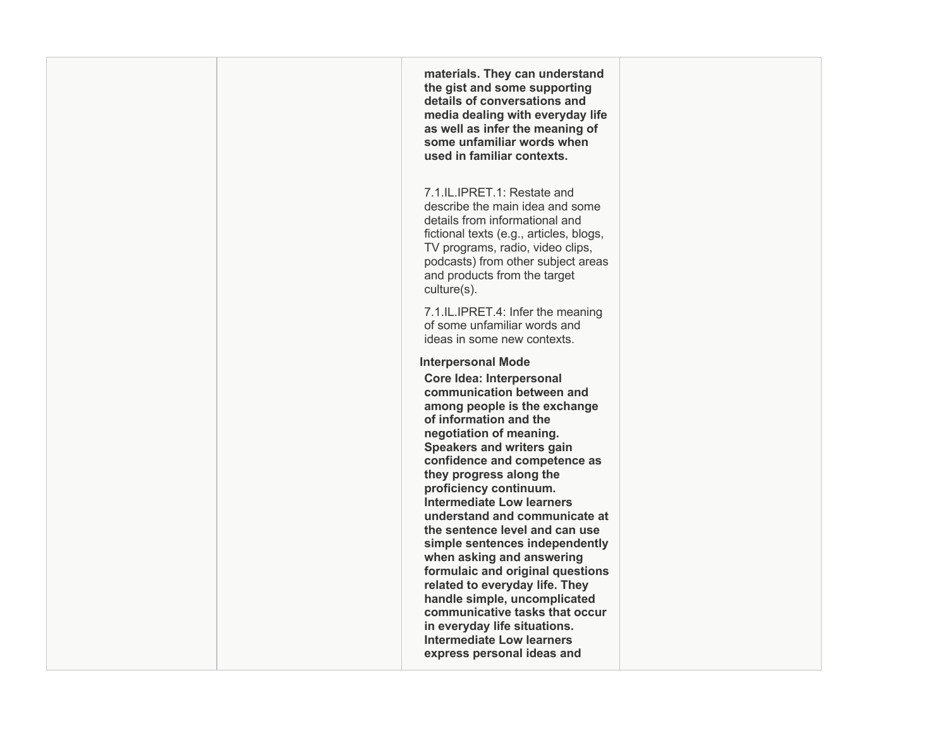**materials. They can understand details of conversations and media dealing with everyday life as well as infer the meaning of some unfamiliar words when the gist and some supporting used in familiar contexts.** 

 fictional texts (e.g., articles, blogs, TV programs, radio, video clips, podcasts) from other subject areas and products from the target 7.1.IL.IPRET.1: Restate and describe the main idea and some details from informational and culture(s).

 7.1.IL.IPRET.4: Infer the meaning ideas in some new contexts. of some unfamiliar words and

## **Interpersonal Mode**

 **Core Idea: Interpersonal communication between and understand and communicate at when asking and answering related to everyday life. They handle simple, uncomplicated communicative tasks that occur express personal ideas and among people is the exchange of information and the negotiation of meaning. Speakers and writers gain confidence and competence as they progress along the proficiency continuum. Intermediate Low learners the sentence level and can use simple sentences independently formulaic and original questions in everyday life situations. Intermediate Low learners**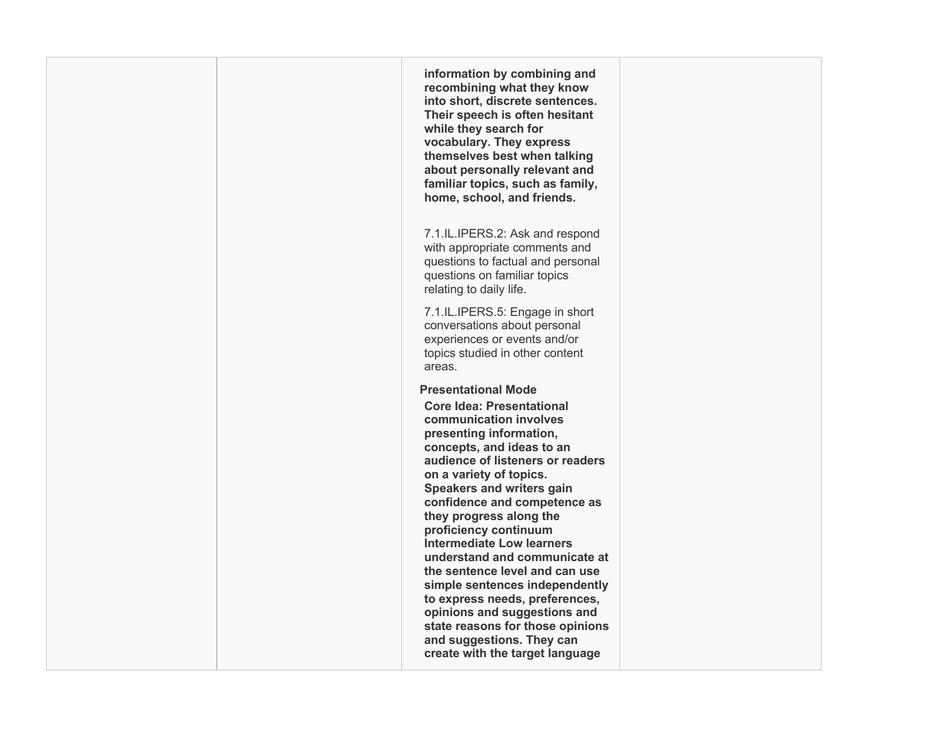**recombining what they know Their speech is often hesitant while they search for themselves best when talking about personally relevant and home, school, and friends.**  with appropriate comments and conversations about personal  **Core Idea: Presentational concepts, and ideas to an on a variety of topics. understand and communicate at and suggestions. They can create with the target language information by combining and into short, discrete sentences. vocabulary. They express familiar topics, such as family,**  7.1.IL.IPERS.2: Ask and respond questions to factual and personal questions on familiar topics relating to daily life. 7.1.IL.IPERS.5: Engage in short experiences or events and/or topics studied in other content areas. **Presentational Mode communication involves presenting information, audience of listeners or readers Speakers and writers gain confidence and competence as they progress along the proficiency continuum Intermediate Low learners the sentence level and can use simple sentences independently to express needs, preferences, opinions and suggestions and state reasons for those opinions**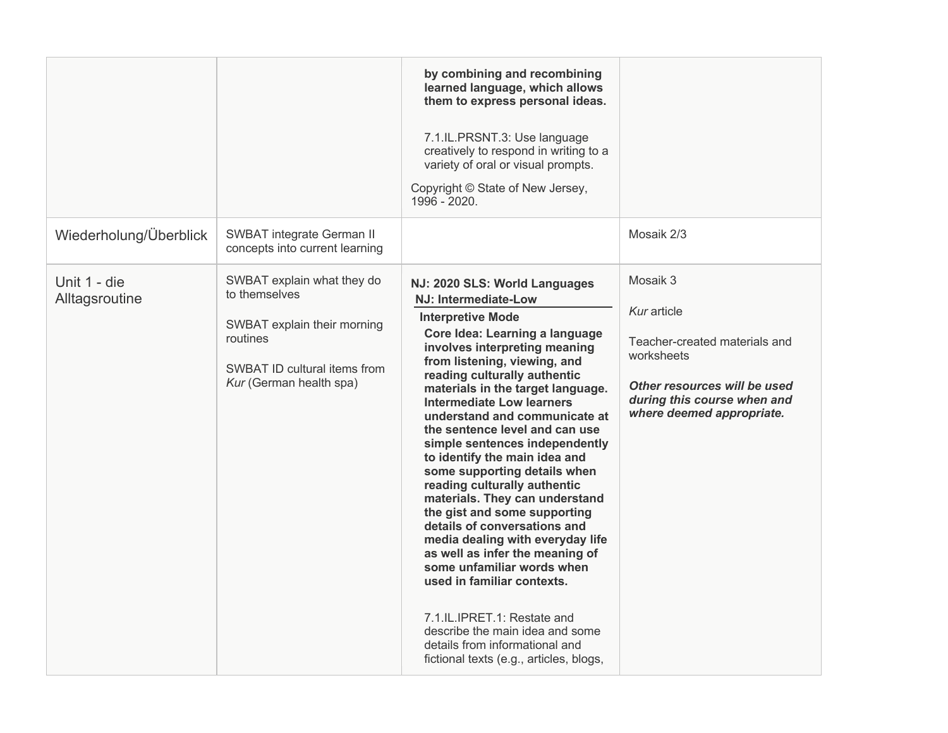|                                |                                                                                                                                                   | by combining and recombining<br>learned language, which allows<br>them to express personal ideas.<br>7.1.IL.PRSNT.3: Use language<br>creatively to respond in writing to a<br>variety of oral or visual prompts.<br>Copyright © State of New Jersey,<br>1996 - 2020.                                                                                                                                                                                                                                                                                                                                                                                                                                                                                                                                                                                                             |                                                                                                                                                                    |
|--------------------------------|---------------------------------------------------------------------------------------------------------------------------------------------------|----------------------------------------------------------------------------------------------------------------------------------------------------------------------------------------------------------------------------------------------------------------------------------------------------------------------------------------------------------------------------------------------------------------------------------------------------------------------------------------------------------------------------------------------------------------------------------------------------------------------------------------------------------------------------------------------------------------------------------------------------------------------------------------------------------------------------------------------------------------------------------|--------------------------------------------------------------------------------------------------------------------------------------------------------------------|
| Wiederholung/Überblick         | <b>SWBAT integrate German II</b><br>concepts into current learning                                                                                |                                                                                                                                                                                                                                                                                                                                                                                                                                                                                                                                                                                                                                                                                                                                                                                                                                                                                  | Mosaik 2/3                                                                                                                                                         |
| Unit 1 - die<br>Alltagsroutine | SWBAT explain what they do<br>to themselves<br>SWBAT explain their morning<br>routines<br>SWBAT ID cultural items from<br>Kur (German health spa) | NJ: 2020 SLS: World Languages<br>NJ: Intermediate-Low<br><b>Interpretive Mode</b><br>Core Idea: Learning a language<br>involves interpreting meaning<br>from listening, viewing, and<br>reading culturally authentic<br>materials in the target language.<br>Intermediate Low learners<br>understand and communicate at<br>the sentence level and can use<br>simple sentences independently<br>to identify the main idea and<br>some supporting details when<br>reading culturally authentic<br>materials. They can understand<br>the gist and some supporting<br>details of conversations and<br>media dealing with everyday life<br>as well as infer the meaning of<br>some unfamiliar words when<br>used in familiar contexts.<br>7.1.IL.IPRET.1: Restate and<br>describe the main idea and some<br>details from informational and<br>fictional texts (e.g., articles, blogs, | Mosaik 3<br>Kur article<br>Teacher-created materials and<br>worksheets<br>Other resources will be used<br>during this course when and<br>where deemed appropriate. |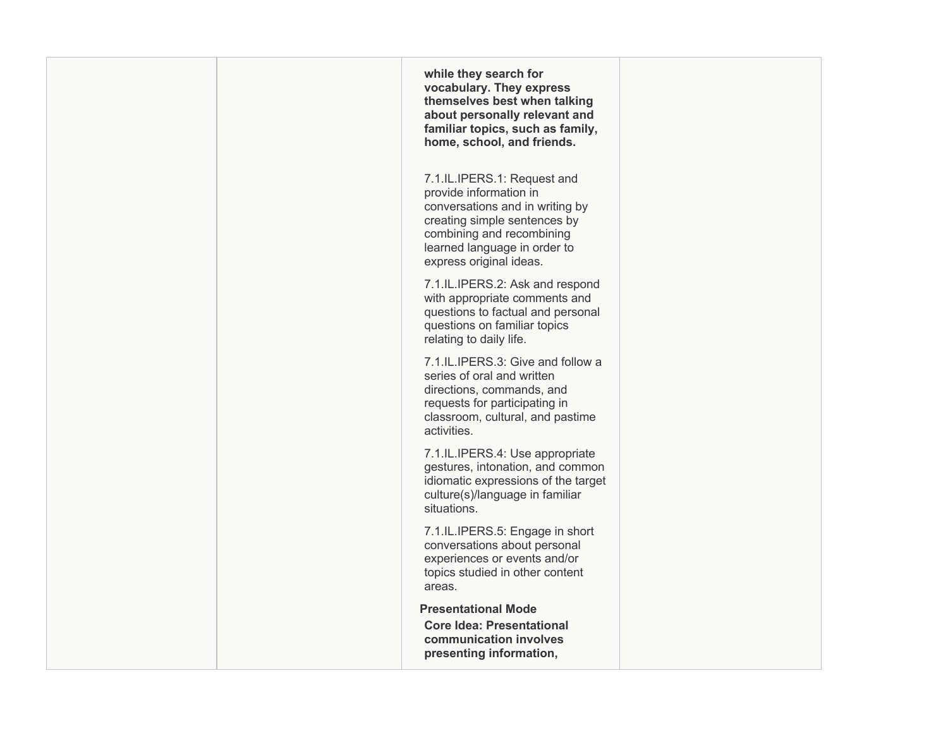| while they search for<br>vocabulary. They express<br>themselves best when talking<br>about personally relevant and<br>familiar topics, such as family,<br>home, school, and friends.                             |  |
|------------------------------------------------------------------------------------------------------------------------------------------------------------------------------------------------------------------|--|
| 7.1.IL.IPERS.1: Request and<br>provide information in<br>conversations and in writing by<br>creating simple sentences by<br>combining and recombining<br>learned language in order to<br>express original ideas. |  |
| 7.1.IL.IPERS.2: Ask and respond<br>with appropriate comments and<br>questions to factual and personal<br>questions on familiar topics<br>relating to daily life.                                                 |  |
| 7.1.IL.IPERS.3: Give and follow a<br>series of oral and written<br>directions, commands, and<br>requests for participating in<br>classroom, cultural, and pastime<br>activities.                                 |  |
| 7.1.IL.IPERS.4: Use appropriate<br>gestures, intonation, and common<br>idiomatic expressions of the target<br>culture(s)/language in familiar<br>situations.                                                     |  |
| 7.1.IL.IPERS.5: Engage in short<br>conversations about personal<br>experiences or events and/or<br>topics studied in other content<br>areas.                                                                     |  |
| <b>Presentational Mode</b><br><b>Core Idea: Presentational</b><br>communication involves<br>presenting information,                                                                                              |  |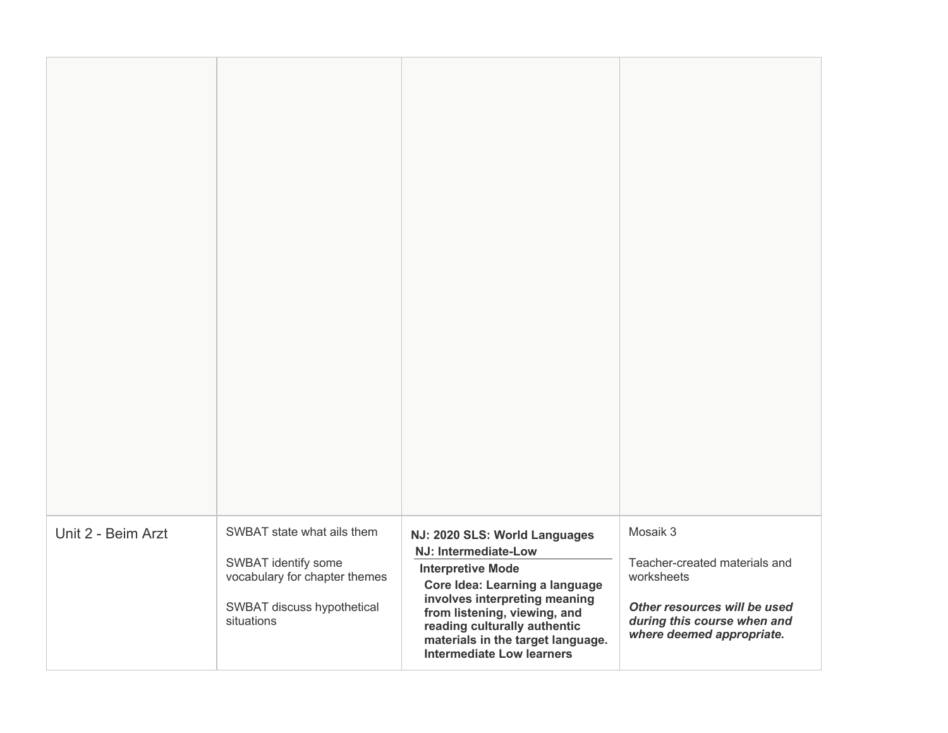| Unit 2 - Beim Arzt | SWBAT state what ails them<br>SWBAT identify some<br>vocabulary for chapter themes<br>SWBAT discuss hypothetical<br>situations | NJ: 2020 SLS: World Languages<br>NJ: Intermediate-Low<br><b>Interpretive Mode</b><br>Core Idea: Learning a language<br>involves interpreting meaning<br>from listening, viewing, and<br>reading culturally authentic<br>materials in the target language.<br>Intermediate Low learners | Mosaik 3<br>Teacher-created materials and<br>worksheets<br>Other resources will be used<br>during this course when and<br>where deemed appropriate. |
|--------------------|--------------------------------------------------------------------------------------------------------------------------------|----------------------------------------------------------------------------------------------------------------------------------------------------------------------------------------------------------------------------------------------------------------------------------------|-----------------------------------------------------------------------------------------------------------------------------------------------------|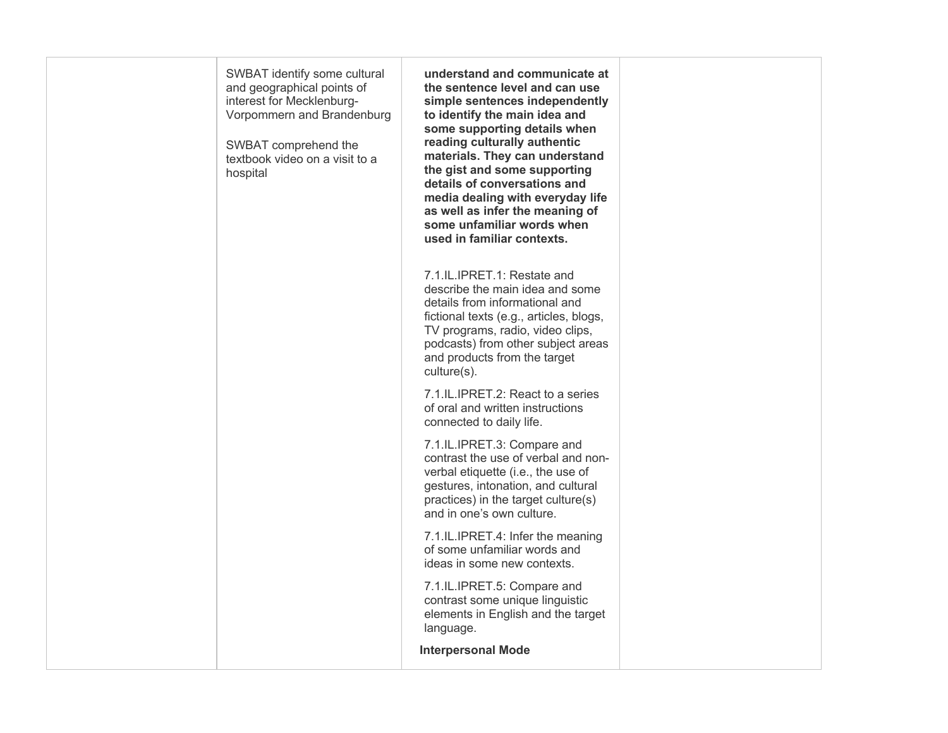| SWBAT identify some cultural<br>and geographical points of<br>interest for Mecklenburg-<br>Vorpommern and Brandenburg<br>SWBAT comprehend the<br>textbook video on a visit to a<br>hospital | understand and communicate at<br>the sentence level and can use<br>simple sentences independently<br>to identify the main idea and<br>some supporting details when<br>reading culturally authentic<br>materials. They can understand<br>the gist and some supporting<br>details of conversations and<br>media dealing with everyday life<br>as well as infer the meaning of<br>some unfamiliar words when<br>used in familiar contexts. |  |
|---------------------------------------------------------------------------------------------------------------------------------------------------------------------------------------------|-----------------------------------------------------------------------------------------------------------------------------------------------------------------------------------------------------------------------------------------------------------------------------------------------------------------------------------------------------------------------------------------------------------------------------------------|--|
|                                                                                                                                                                                             | 7.1.IL.IPRET.1: Restate and<br>describe the main idea and some<br>details from informational and<br>fictional texts (e.g., articles, blogs,<br>TV programs, radio, video clips,<br>podcasts) from other subject areas<br>and products from the target<br>culture(s).                                                                                                                                                                    |  |
|                                                                                                                                                                                             | 7.1.IL.IPRET.2: React to a series<br>of oral and written instructions<br>connected to daily life.                                                                                                                                                                                                                                                                                                                                       |  |
|                                                                                                                                                                                             | 7.1.IL.IPRET.3: Compare and<br>contrast the use of verbal and non-<br>verbal etiquette (i.e., the use of<br>gestures, intonation, and cultural<br>practices) in the target culture(s)<br>and in one's own culture.                                                                                                                                                                                                                      |  |
|                                                                                                                                                                                             | 7.1.IL.IPRET.4: Infer the meaning<br>of some unfamiliar words and<br>ideas in some new contexts.                                                                                                                                                                                                                                                                                                                                        |  |
|                                                                                                                                                                                             | 7.1.IL.IPRET.5: Compare and<br>contrast some unique linguistic<br>elements in English and the target<br>language.                                                                                                                                                                                                                                                                                                                       |  |
|                                                                                                                                                                                             | <b>Interpersonal Mode</b>                                                                                                                                                                                                                                                                                                                                                                                                               |  |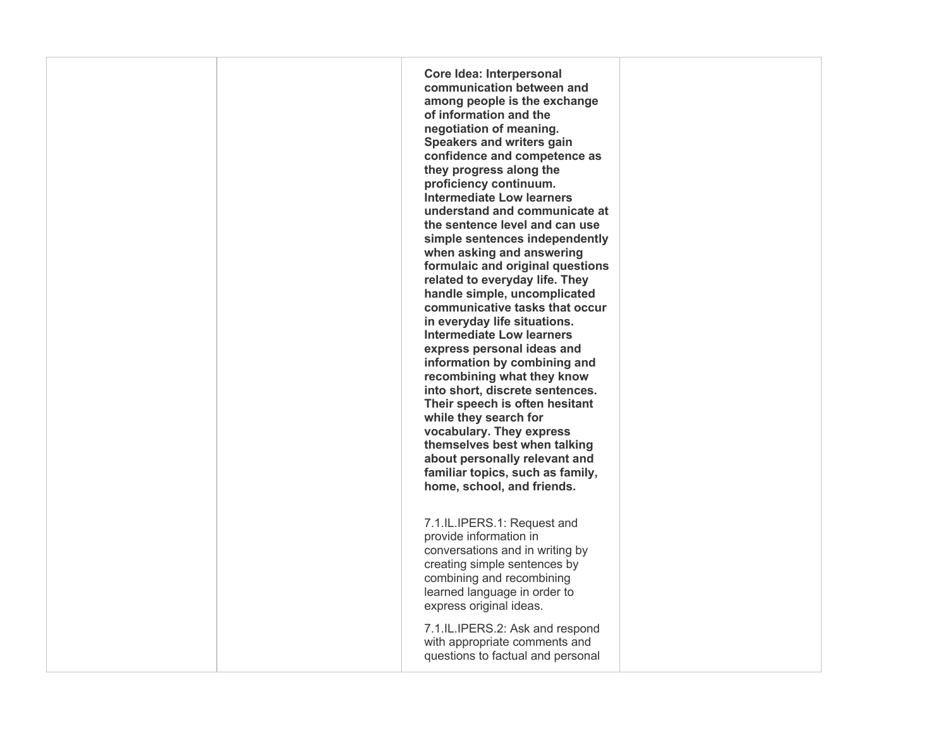**Core Idea: Interpersonal communication between and understand and communicate at when asking and answering related to everyday life. They handle simple, uncomplicated communicative tasks that occur express personal ideas and recombining what they know Their speech is often hesitant while they search for about personally relevant and home, school, and friends.**  7.1.IL.IPERS.1: Request and **among people is the exchange of information and the negotiation of meaning. Speakers and writers gain confidence and competence as they progress along the proficiency continuum. Intermediate Low learners the sentence level and can use simple sentences independently formulaic and original questions in everyday life situations. Intermediate Low learners information by combining and into short, discrete sentences. vocabulary. They express themselves best when talking familiar topics, such as family,**  provide information in conversations and in writing by

 learned language in order to creating simple sentences by combining and recombining express original ideas.

 with appropriate comments and 7.1.IL.IPERS.2: Ask and respond questions to factual and personal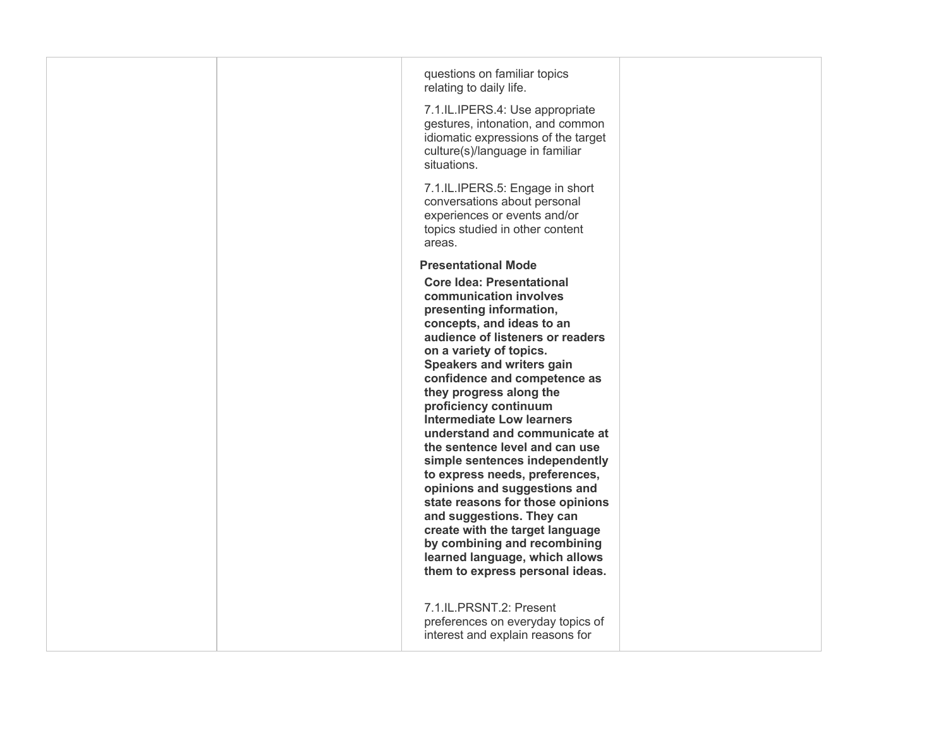|  | questions on familiar topics<br>relating to daily life.<br>7.1.IL.IPERS.4: Use appropriate<br>gestures, intonation, and common<br>idiomatic expressions of the target<br>culture(s)/language in familiar<br>situations.                                                                                                                                                                                                                                                                                                                                                                                                                                                                                                                                     |  |
|--|-------------------------------------------------------------------------------------------------------------------------------------------------------------------------------------------------------------------------------------------------------------------------------------------------------------------------------------------------------------------------------------------------------------------------------------------------------------------------------------------------------------------------------------------------------------------------------------------------------------------------------------------------------------------------------------------------------------------------------------------------------------|--|
|  | 7.1.IL.IPERS.5: Engage in short<br>conversations about personal<br>experiences or events and/or<br>topics studied in other content<br>areas.                                                                                                                                                                                                                                                                                                                                                                                                                                                                                                                                                                                                                |  |
|  | <b>Presentational Mode</b><br><b>Core Idea: Presentational</b><br>communication involves<br>presenting information,<br>concepts, and ideas to an<br>audience of listeners or readers<br>on a variety of topics.<br><b>Speakers and writers gain</b><br>confidence and competence as<br>they progress along the<br>proficiency continuum<br><b>Intermediate Low learners</b><br>understand and communicate at<br>the sentence level and can use<br>simple sentences independently<br>to express needs, preferences,<br>opinions and suggestions and<br>state reasons for those opinions<br>and suggestions. They can<br>create with the target language<br>by combining and recombining<br>learned language, which allows<br>them to express personal ideas. |  |
|  | 7.1.IL.PRSNT.2: Present<br>preferences on everyday topics of<br>interest and explain reasons for                                                                                                                                                                                                                                                                                                                                                                                                                                                                                                                                                                                                                                                            |  |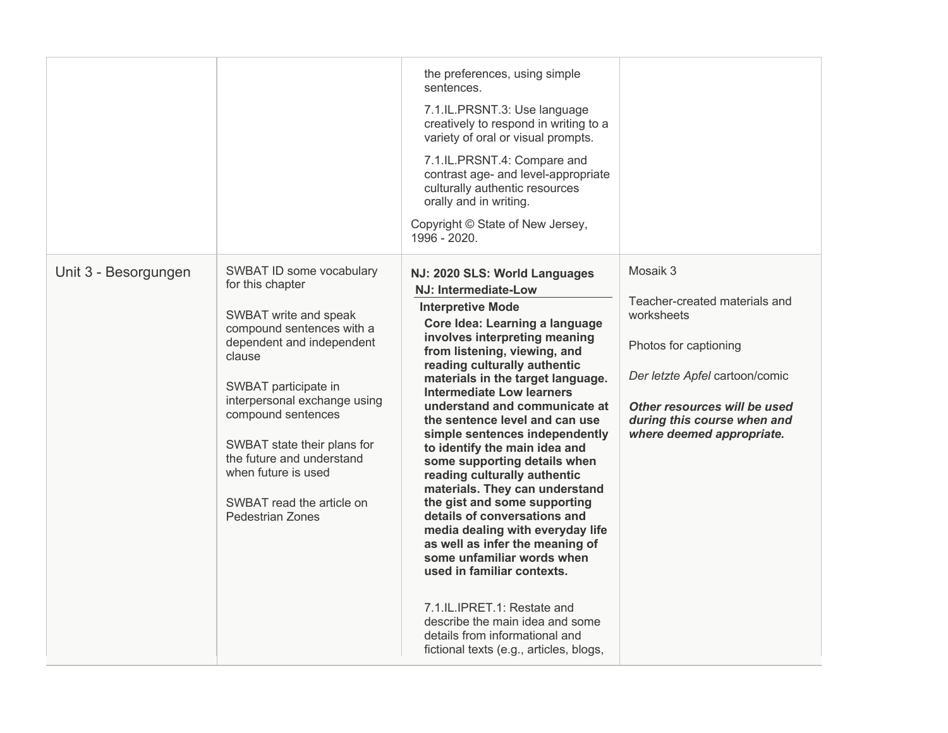|                      |                                                                                                                                                                                                                                                                                                                                                                    | the preferences, using simple<br>sentences.<br>7.1.IL.PRSNT.3: Use language<br>creatively to respond in writing to a<br>variety of oral or visual prompts.<br>7.1.IL.PRSNT.4: Compare and<br>contrast age- and level-appropriate<br>culturally authentic resources<br>orally and in writing.<br>Copyright © State of New Jersey,<br>1996 - 2020.                                                                                                                                                                                                                                                                                                                                                                                                                                                                                                                                               |                                                                                                                                                                                                                |
|----------------------|--------------------------------------------------------------------------------------------------------------------------------------------------------------------------------------------------------------------------------------------------------------------------------------------------------------------------------------------------------------------|------------------------------------------------------------------------------------------------------------------------------------------------------------------------------------------------------------------------------------------------------------------------------------------------------------------------------------------------------------------------------------------------------------------------------------------------------------------------------------------------------------------------------------------------------------------------------------------------------------------------------------------------------------------------------------------------------------------------------------------------------------------------------------------------------------------------------------------------------------------------------------------------|----------------------------------------------------------------------------------------------------------------------------------------------------------------------------------------------------------------|
| Unit 3 - Besorgungen | SWBAT ID some vocabulary<br>for this chapter<br>SWBAT write and speak<br>compound sentences with a<br>dependent and independent<br>clause<br>SWBAT participate in<br>interpersonal exchange using<br>compound sentences<br>SWBAT state their plans for<br>the future and understand<br>when future is used<br>SWBAT read the article on<br><b>Pedestrian Zones</b> | NJ: 2020 SLS: World Languages<br><b>NJ: Intermediate-Low</b><br><b>Interpretive Mode</b><br>Core Idea: Learning a language<br>involves interpreting meaning<br>from listening, viewing, and<br>reading culturally authentic<br>materials in the target language.<br><b>Intermediate Low learners</b><br>understand and communicate at<br>the sentence level and can use<br>simple sentences independently<br>to identify the main idea and<br>some supporting details when<br>reading culturally authentic<br>materials. They can understand<br>the gist and some supporting<br>details of conversations and<br>media dealing with everyday life<br>as well as infer the meaning of<br>some unfamiliar words when<br>used in familiar contexts.<br>7.1.IL.IPRET.1: Restate and<br>describe the main idea and some<br>details from informational and<br>fictional texts (e.g., articles, blogs, | Mosaik 3<br>Teacher-created materials and<br>worksheets<br>Photos for captioning<br>Der letzte Apfel cartoon/comic<br>Other resources will be used<br>during this course when and<br>where deemed appropriate. |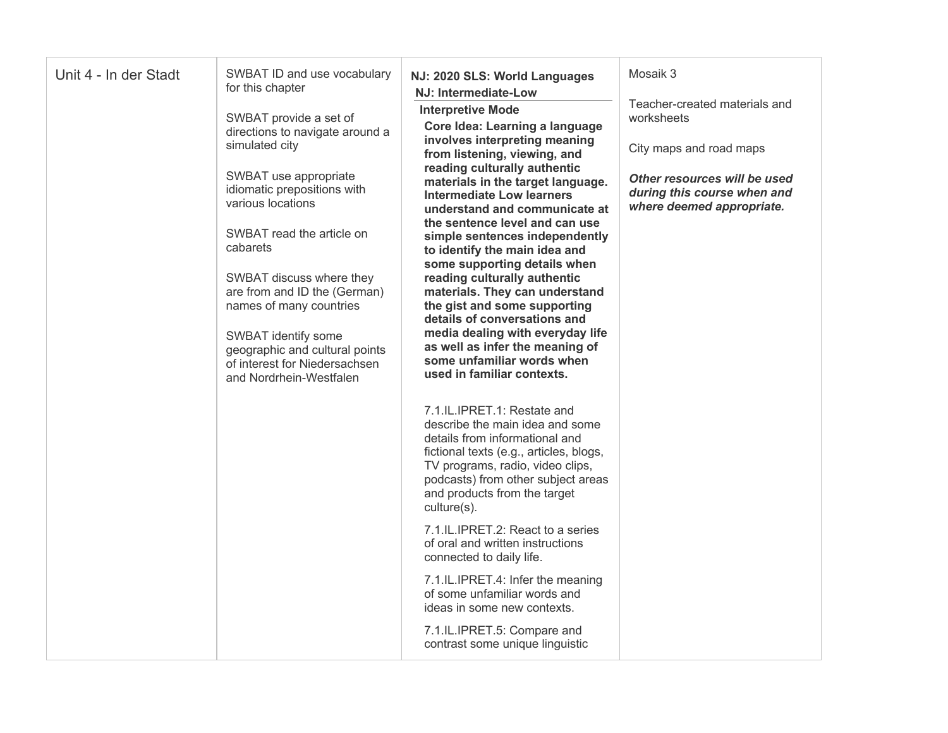| Unit 4 - In der Stadt | SWBAT ID and use vocabulary<br>for this chapter<br>SWBAT provide a set of<br>directions to navigate around a<br>simulated city<br>SWBAT use appropriate<br>idiomatic prepositions with<br>various locations<br>SWBAT read the article on<br>cabarets<br>SWBAT discuss where they<br>are from and ID the (German)<br>names of many countries<br>SWBAT identify some<br>geographic and cultural points | NJ: 2020 SLS: World Languages<br>NJ: Intermediate-Low<br><b>Interpretive Mode</b><br>Core Idea: Learning a language<br>involves interpreting meaning<br>from listening, viewing, and<br>reading culturally authentic<br>materials in the target language.<br><b>Intermediate Low learners</b><br>understand and communicate at<br>the sentence level and can use<br>simple sentences independently<br>to identify the main idea and<br>some supporting details when<br>reading culturally authentic<br>materials. They can understand<br>the gist and some supporting<br>details of conversations and<br>media dealing with everyday life<br>as well as infer the meaning of | Mosaik 3<br>Teacher-created materials and<br>worksheets<br>City maps and road maps<br>Other resources will be used<br>during this course when and<br>where deemed appropriate. |
|-----------------------|------------------------------------------------------------------------------------------------------------------------------------------------------------------------------------------------------------------------------------------------------------------------------------------------------------------------------------------------------------------------------------------------------|------------------------------------------------------------------------------------------------------------------------------------------------------------------------------------------------------------------------------------------------------------------------------------------------------------------------------------------------------------------------------------------------------------------------------------------------------------------------------------------------------------------------------------------------------------------------------------------------------------------------------------------------------------------------------|--------------------------------------------------------------------------------------------------------------------------------------------------------------------------------|
|                       | of interest for Niedersachsen<br>and Nordrhein-Westfalen                                                                                                                                                                                                                                                                                                                                             | some unfamiliar words when<br>used in familiar contexts.<br>7.1.IL.IPRET.1: Restate and<br>describe the main idea and some<br>details from informational and<br>fictional texts (e.g., articles, blogs,<br>TV programs, radio, video clips,<br>podcasts) from other subject areas<br>and products from the target<br>culture(s).<br>7.1.IL.IPRET.2: React to a series<br>of oral and written instructions<br>connected to daily life.<br>7.1.IL.IPRET.4: Infer the meaning<br>of some unfamiliar words and<br>ideas in some new contexts.<br>7.1.IL.IPRET.5: Compare and<br>contrast some unique linguistic                                                                  |                                                                                                                                                                                |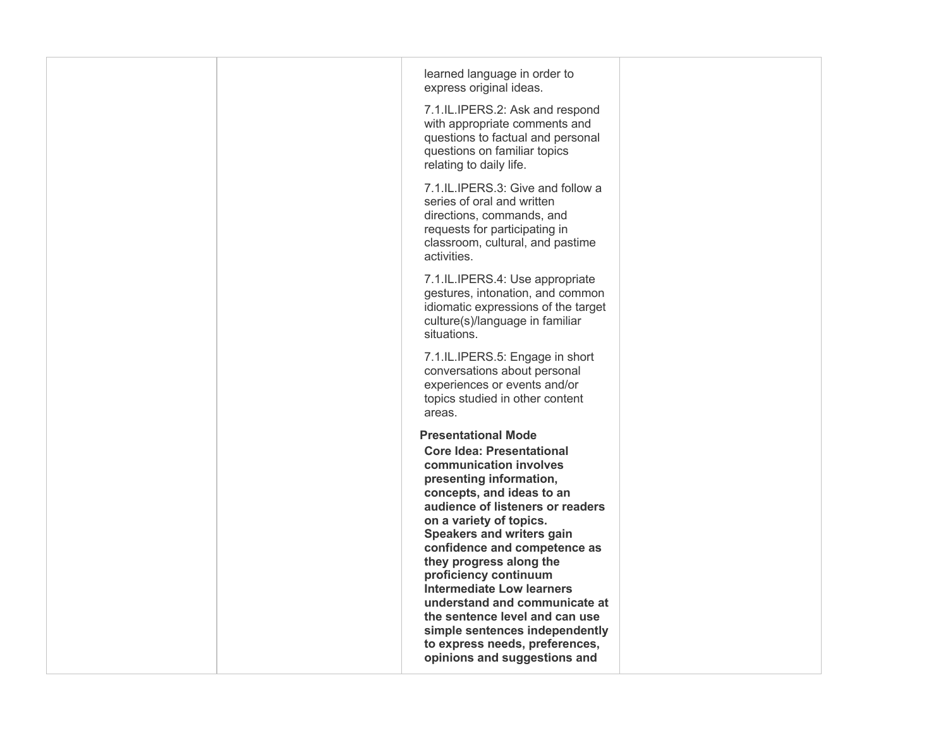|  | learned language in order to<br>express original ideas.<br>7.1.IL.IPERS.2: Ask and respond<br>with appropriate comments and<br>questions to factual and personal<br>questions on familiar topics<br>relating to daily life.                                                                                                                                                                                                                                                                                                                        |  |
|--|----------------------------------------------------------------------------------------------------------------------------------------------------------------------------------------------------------------------------------------------------------------------------------------------------------------------------------------------------------------------------------------------------------------------------------------------------------------------------------------------------------------------------------------------------|--|
|  | 7.1.IL.IPERS.3: Give and follow a<br>series of oral and written<br>directions, commands, and<br>requests for participating in<br>classroom, cultural, and pastime<br>activities.                                                                                                                                                                                                                                                                                                                                                                   |  |
|  | 7.1.IL.IPERS.4: Use appropriate<br>gestures, intonation, and common<br>idiomatic expressions of the target<br>culture(s)/language in familiar<br>situations.                                                                                                                                                                                                                                                                                                                                                                                       |  |
|  | 7.1.IL.IPERS.5: Engage in short<br>conversations about personal<br>experiences or events and/or<br>topics studied in other content<br>areas.                                                                                                                                                                                                                                                                                                                                                                                                       |  |
|  | <b>Presentational Mode</b><br><b>Core Idea: Presentational</b><br>communication involves<br>presenting information,<br>concepts, and ideas to an<br>audience of listeners or readers<br>on a variety of topics.<br><b>Speakers and writers gain</b><br>confidence and competence as<br>they progress along the<br>proficiency continuum<br><b>Intermediate Low learners</b><br>understand and communicate at<br>the sentence level and can use<br>simple sentences independently<br>to express needs, preferences,<br>opinions and suggestions and |  |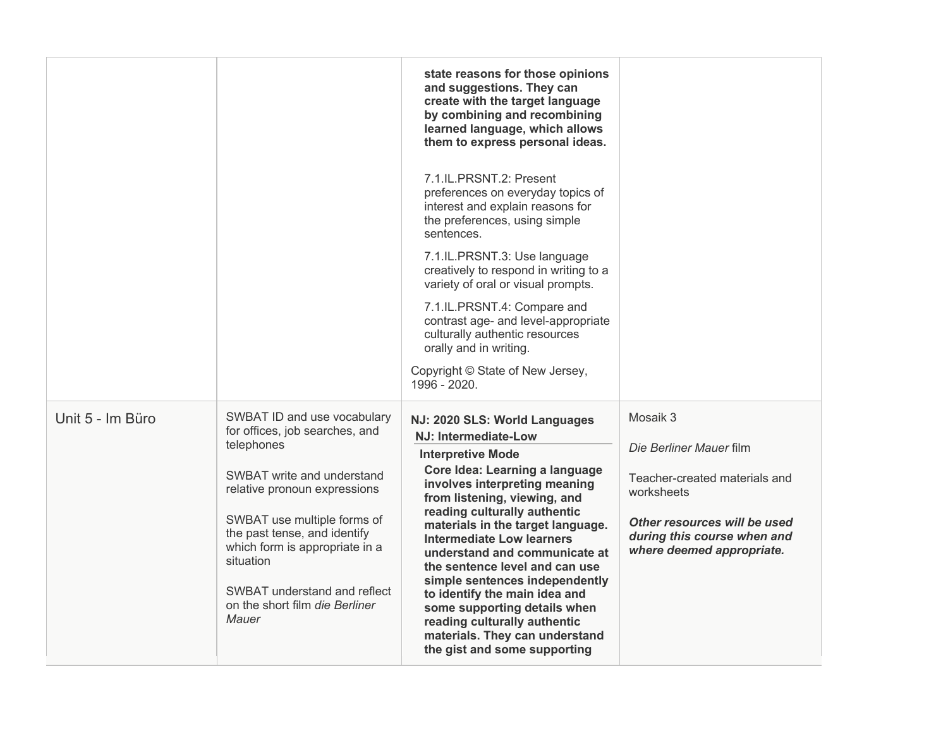|                  |                                                                                                                                                                                                                                                                                                                                    | state reasons for those opinions<br>and suggestions. They can<br>create with the target language<br>by combining and recombining<br>learned language, which allows<br>them to express personal ideas.<br>7.1.IL.PRSNT.2: Present<br>preferences on everyday topics of<br>interest and explain reasons for<br>the preferences, using simple<br>sentences.<br>7.1.IL.PRSNT.3: Use language<br>creatively to respond in writing to a<br>variety of oral or visual prompts.<br>7.1.IL.PRSNT.4: Compare and<br>contrast age- and level-appropriate<br>culturally authentic resources<br>orally and in writing.<br>Copyright © State of New Jersey, |                                                                                                                                                                                |
|------------------|------------------------------------------------------------------------------------------------------------------------------------------------------------------------------------------------------------------------------------------------------------------------------------------------------------------------------------|-----------------------------------------------------------------------------------------------------------------------------------------------------------------------------------------------------------------------------------------------------------------------------------------------------------------------------------------------------------------------------------------------------------------------------------------------------------------------------------------------------------------------------------------------------------------------------------------------------------------------------------------------|--------------------------------------------------------------------------------------------------------------------------------------------------------------------------------|
|                  |                                                                                                                                                                                                                                                                                                                                    | 1996 - 2020.                                                                                                                                                                                                                                                                                                                                                                                                                                                                                                                                                                                                                                  |                                                                                                                                                                                |
| Unit 5 - Im Büro | SWBAT ID and use vocabulary<br>for offices, job searches, and<br>telephones<br>SWBAT write and understand<br>relative pronoun expressions<br>SWBAT use multiple forms of<br>the past tense, and identify<br>which form is appropriate in a<br>situation<br>SWBAT understand and reflect<br>on the short film die Berliner<br>Mauer | NJ: 2020 SLS: World Languages<br><b>NJ: Intermediate-Low</b><br><b>Interpretive Mode</b><br>Core Idea: Learning a language<br>involves interpreting meaning<br>from listening, viewing, and<br>reading culturally authentic<br>materials in the target language.<br>Intermediate Low learners<br>understand and communicate at<br>the sentence level and can use<br>simple sentences independently<br>to identify the main idea and<br>some supporting details when<br>reading culturally authentic<br>materials. They can understand<br>the gist and some supporting                                                                         | Mosaik 3<br>Die Berliner Mauer film<br>Teacher-created materials and<br>worksheets<br>Other resources will be used<br>during this course when and<br>where deemed appropriate. |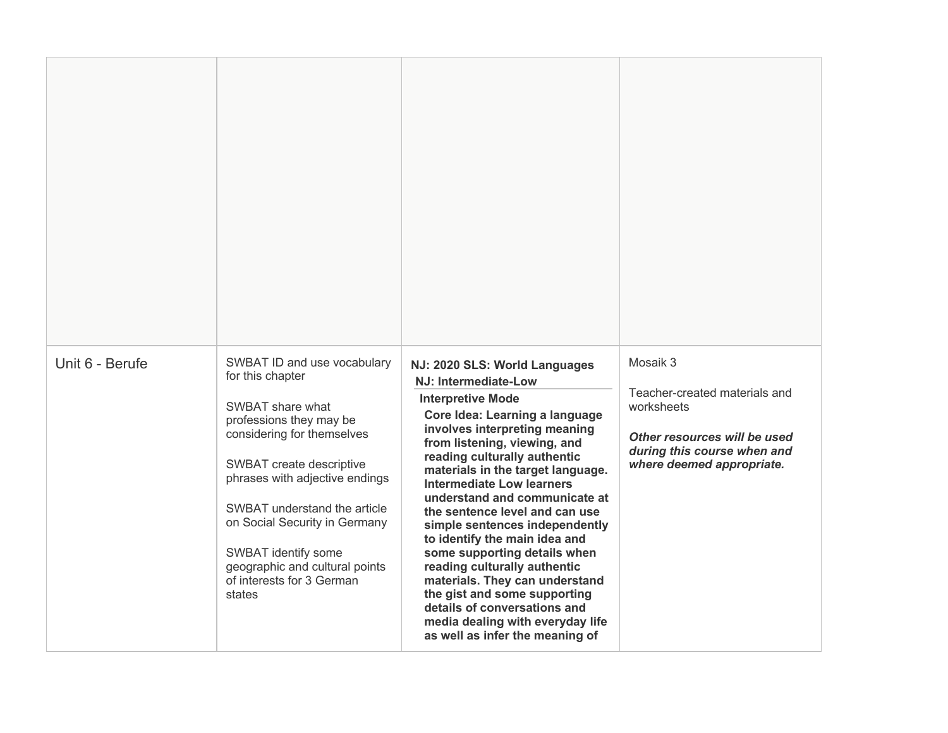| Unit 6 - Berufe | SWBAT ID and use vocabulary<br>for this chapter<br>SWBAT share what<br>professions they may be<br>considering for themselves<br>SWBAT create descriptive<br>phrases with adjective endings<br>SWBAT understand the article<br>on Social Security in Germany<br>SWBAT identify some<br>geographic and cultural points<br>of interests for 3 German<br>states | NJ: 2020 SLS: World Languages<br>NJ: Intermediate-Low<br><b>Interpretive Mode</b><br>Core Idea: Learning a language<br>involves interpreting meaning<br>from listening, viewing, and<br>reading culturally authentic<br>materials in the target language.<br><b>Intermediate Low learners</b><br>understand and communicate at<br>the sentence level and can use<br>simple sentences independently<br>to identify the main idea and<br>some supporting details when<br>reading culturally authentic<br>materials. They can understand<br>the gist and some supporting<br>details of conversations and<br>media dealing with everyday life<br>as well as infer the meaning of | Mosaik 3<br>Teacher-created materials and<br>worksheets<br>Other resources will be used<br>during this course when and<br>where deemed appropriate. |
|-----------------|-------------------------------------------------------------------------------------------------------------------------------------------------------------------------------------------------------------------------------------------------------------------------------------------------------------------------------------------------------------|------------------------------------------------------------------------------------------------------------------------------------------------------------------------------------------------------------------------------------------------------------------------------------------------------------------------------------------------------------------------------------------------------------------------------------------------------------------------------------------------------------------------------------------------------------------------------------------------------------------------------------------------------------------------------|-----------------------------------------------------------------------------------------------------------------------------------------------------|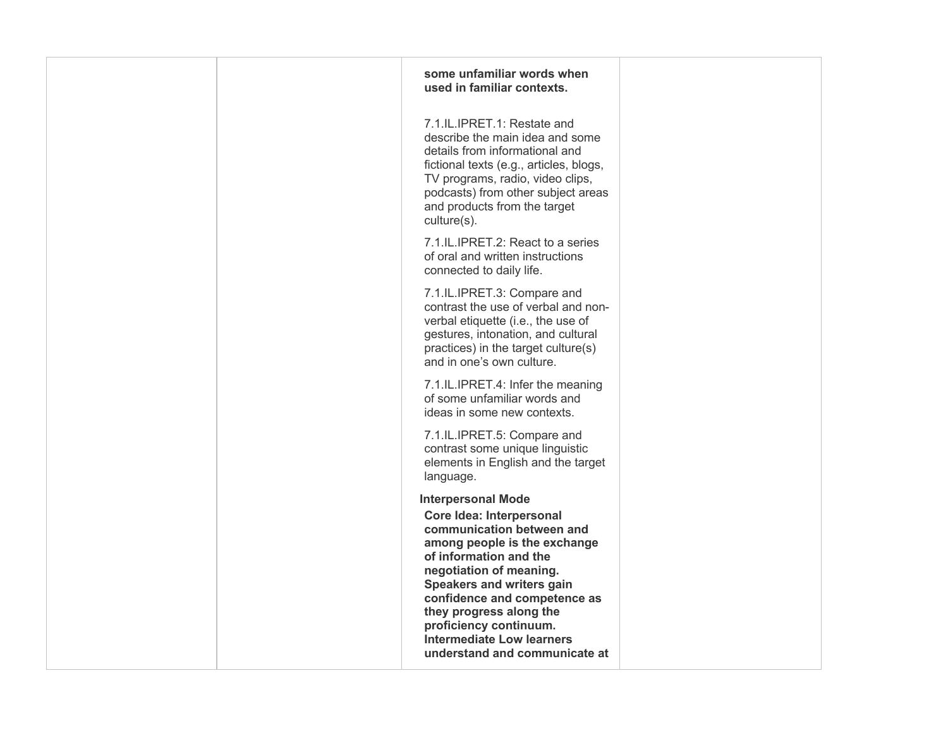| some unfamiliar words when<br>used in familiar contexts.                                                                                                                                                                                                                                                                                                              |  |
|-----------------------------------------------------------------------------------------------------------------------------------------------------------------------------------------------------------------------------------------------------------------------------------------------------------------------------------------------------------------------|--|
| 7.1.IL.IPRET.1: Restate and<br>describe the main idea and some<br>details from informational and<br>fictional texts (e.g., articles, blogs,<br>TV programs, radio, video clips,<br>podcasts) from other subject areas<br>and products from the target<br>culture(s).                                                                                                  |  |
| 7.1.IL.IPRET.2: React to a series<br>of oral and written instructions<br>connected to daily life.                                                                                                                                                                                                                                                                     |  |
| 7.1.IL.IPRET.3: Compare and<br>contrast the use of verbal and non-<br>verbal etiquette (i.e., the use of<br>gestures, intonation, and cultural<br>practices) in the target culture(s)<br>and in one's own culture.                                                                                                                                                    |  |
| 7.1.IL.IPRET.4: Infer the meaning<br>of some unfamiliar words and<br>ideas in some new contexts.                                                                                                                                                                                                                                                                      |  |
| 7.1.IL.IPRET.5: Compare and<br>contrast some unique linguistic<br>elements in English and the target<br>language.                                                                                                                                                                                                                                                     |  |
| <b>Interpersonal Mode</b><br><b>Core Idea: Interpersonal</b><br>communication between and<br>among people is the exchange<br>of information and the<br>negotiation of meaning.<br>Speakers and writers gain<br>confidence and competence as<br>they progress along the<br>proficiency continuum.<br><b>Intermediate Low learners</b><br>understand and communicate at |  |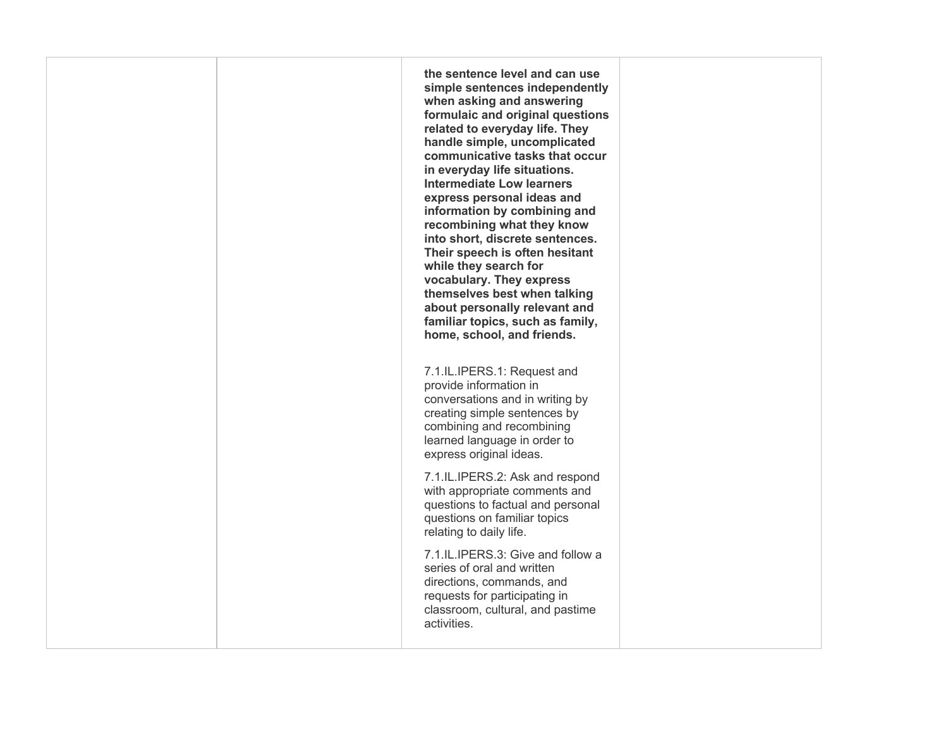**when asking and answering related to everyday life. They handle simple, uncomplicated communicative tasks that occur express personal ideas and recombining what they know Their speech is often hesitant while they search for about personally relevant and home, school, and friends.**  7.1.IL.IPERS.1: Request and learned language in order to with appropriate comments and **the sentence level and can use simple sentences independently formulaic and original questions in everyday life situations. Intermediate Low learners information by combining and into short, discrete sentences. vocabulary. They express themselves best when talking familiar topics, such as family,**  provide information in conversations and in writing by creating simple sentences by combining and recombining express original ideas. 7.1.IL.IPERS.2: Ask and respond questions to factual and personal questions on familiar topics relating to daily life. 7.1.IL.IPERS.3: Give and follow a

 series of oral and written classroom, cultural, and pastime directions, commands, and requests for participating in activities.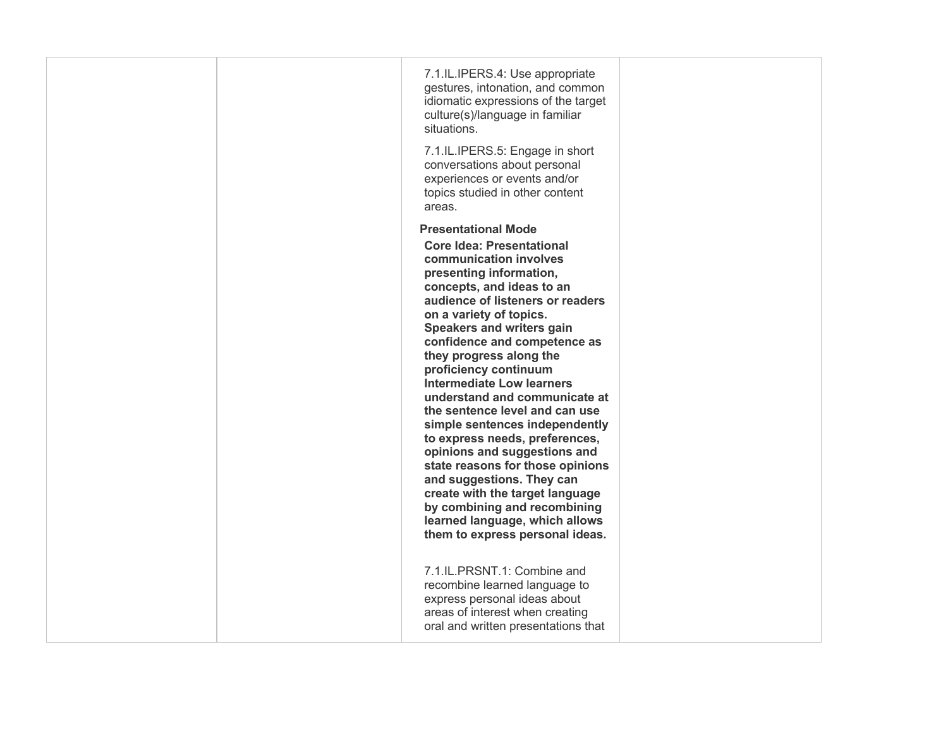|  | 7.1.IL.IPERS.4: Use appropriate<br>gestures, intonation, and common<br>idiomatic expressions of the target<br>culture(s)/language in familiar<br>situations. |  |
|--|--------------------------------------------------------------------------------------------------------------------------------------------------------------|--|
|  | 7.1.IL.IPERS.5: Engage in short<br>conversations about personal<br>experiences or events and/or<br>topics studied in other content<br>areas.                 |  |
|  | <b>Presentational Mode</b>                                                                                                                                   |  |
|  | <b>Core Idea: Presentational</b>                                                                                                                             |  |
|  | communication involves                                                                                                                                       |  |
|  | presenting information,<br>concepts, and ideas to an                                                                                                         |  |
|  | audience of listeners or readers                                                                                                                             |  |
|  | on a variety of topics.                                                                                                                                      |  |
|  | <b>Speakers and writers gain</b>                                                                                                                             |  |
|  | confidence and competence as<br>they progress along the                                                                                                      |  |
|  | proficiency continuum                                                                                                                                        |  |
|  | <b>Intermediate Low learners</b>                                                                                                                             |  |
|  | understand and communicate at<br>the sentence level and can use                                                                                              |  |
|  | simple sentences independently                                                                                                                               |  |
|  | to express needs, preferences,                                                                                                                               |  |
|  | opinions and suggestions and<br>state reasons for those opinions                                                                                             |  |
|  | and suggestions. They can                                                                                                                                    |  |
|  | create with the target language                                                                                                                              |  |
|  | by combining and recombining<br>learned language, which allows                                                                                               |  |
|  | them to express personal ideas.                                                                                                                              |  |
|  |                                                                                                                                                              |  |
|  | 7.1.IL.PRSNT.1: Combine and                                                                                                                                  |  |
|  | recombine learned language to                                                                                                                                |  |
|  | express personal ideas about<br>areas of interest when creating                                                                                              |  |
|  | oral and written presentations that                                                                                                                          |  |
|  |                                                                                                                                                              |  |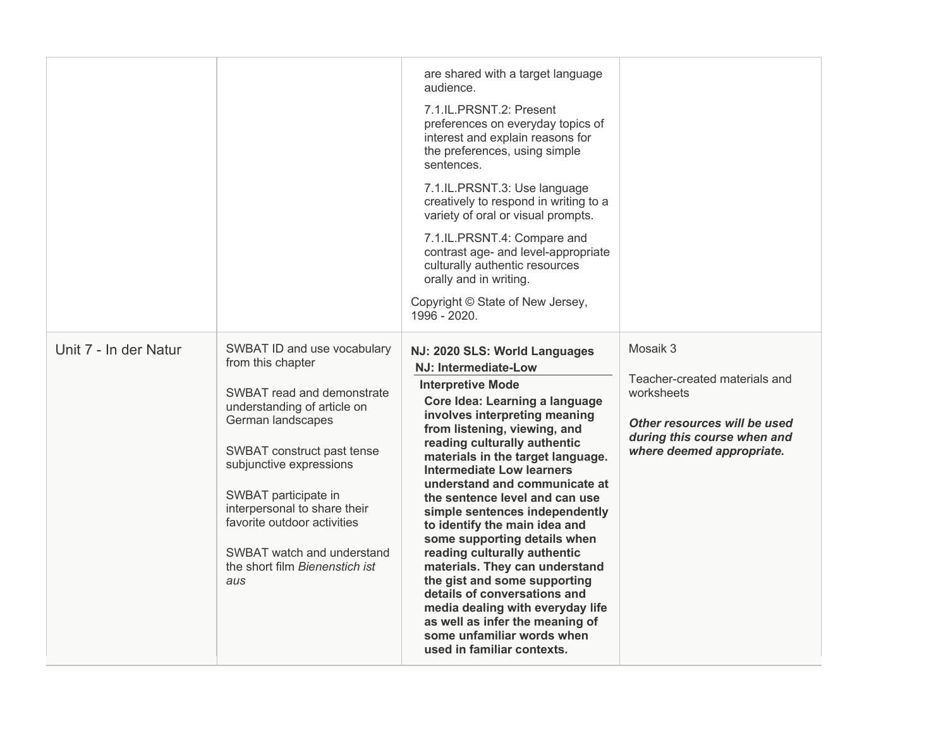|                       |                                                                                                                                                                                                                                                                                                                                                           | are shared with a target language<br>audience.<br>7.1.IL.PRSNT.2: Present<br>preferences on everyday topics of<br>interest and explain reasons for<br>the preferences, using simple<br>sentences.<br>7.1.IL.PRSNT.3: Use language<br>creatively to respond in writing to a<br>variety of oral or visual prompts.<br>7.1.IL.PRSNT.4: Compare and<br>contrast age- and level-appropriate<br>culturally authentic resources<br>orally and in writing.<br>Copyright © State of New Jersey,<br>1996 - 2020.                                                                                                                                                                                                                                          |                                                                                                                                                     |
|-----------------------|-----------------------------------------------------------------------------------------------------------------------------------------------------------------------------------------------------------------------------------------------------------------------------------------------------------------------------------------------------------|-------------------------------------------------------------------------------------------------------------------------------------------------------------------------------------------------------------------------------------------------------------------------------------------------------------------------------------------------------------------------------------------------------------------------------------------------------------------------------------------------------------------------------------------------------------------------------------------------------------------------------------------------------------------------------------------------------------------------------------------------|-----------------------------------------------------------------------------------------------------------------------------------------------------|
| Unit 7 - In der Natur | SWBAT ID and use vocabulary<br>from this chapter<br>SWBAT read and demonstrate<br>understanding of article on<br>German landscapes<br>SWBAT construct past tense<br>subjunctive expressions<br>SWBAT participate in<br>interpersonal to share their<br>favorite outdoor activities<br>SWBAT watch and understand<br>the short film Bienenstich ist<br>aus | NJ: 2020 SLS: World Languages<br><b>NJ: Intermediate-Low</b><br><b>Interpretive Mode</b><br>Core Idea: Learning a language<br>involves interpreting meaning<br>from listening, viewing, and<br>reading culturally authentic<br>materials in the target language.<br><b>Intermediate Low learners</b><br>understand and communicate at<br>the sentence level and can use<br>simple sentences independently<br>to identify the main idea and<br>some supporting details when<br>reading culturally authentic<br>materials. They can understand<br>the gist and some supporting<br>details of conversations and<br>media dealing with everyday life<br>as well as infer the meaning of<br>some unfamiliar words when<br>used in familiar contexts. | Mosaik 3<br>Teacher-created materials and<br>worksheets<br>Other resources will be used<br>during this course when and<br>where deemed appropriate. |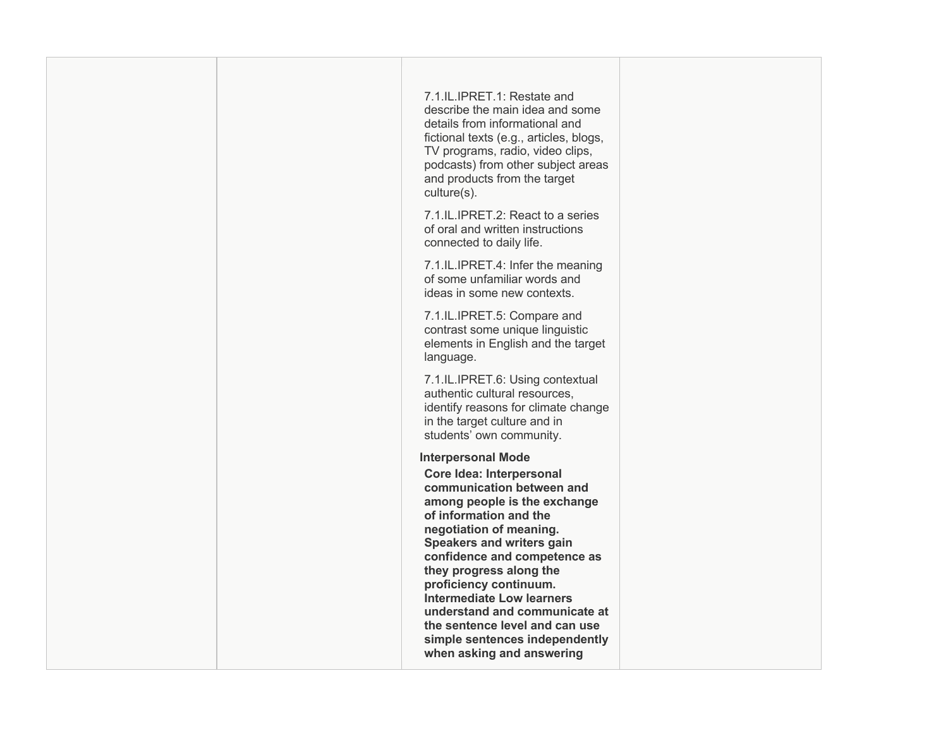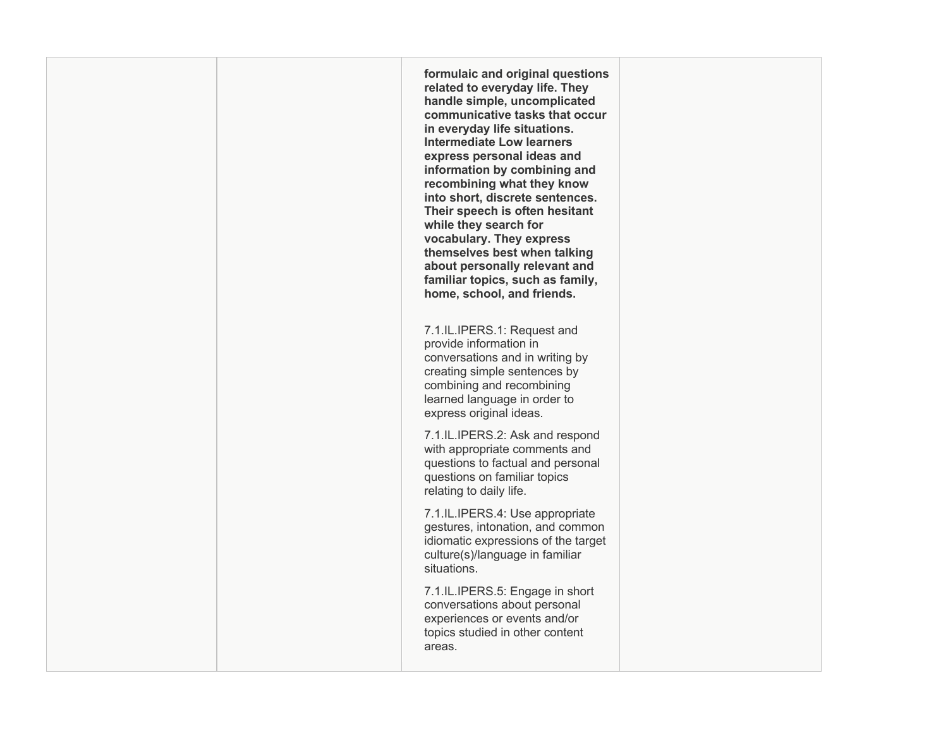**related to everyday life. They handle simple, uncomplicated communicative tasks that occur express personal ideas and recombining what they know Their speech is often hesitant while they search for about personally relevant and home, school, and friends. formulaic and original questions in everyday life situations. Intermediate Low learners information by combining and into short, discrete sentences. vocabulary. They express themselves best when talking familiar topics, such as family,** 

 7.1.IL.IPERS.1: Request and learned language in order to provide information in conversations and in writing by creating simple sentences by combining and recombining express original ideas.

 with appropriate comments and 7.1.IL.IPERS.2: Ask and respond questions to factual and personal questions on familiar topics relating to daily life.

 gestures, intonation, and common idiomatic expressions of the target 7.1.IL.IPERS.4: Use appropriate culture(s)/language in familiar situations.

 conversations about personal 7.1.IL.IPERS.5: Engage in short experiences or events and/or topics studied in other content areas.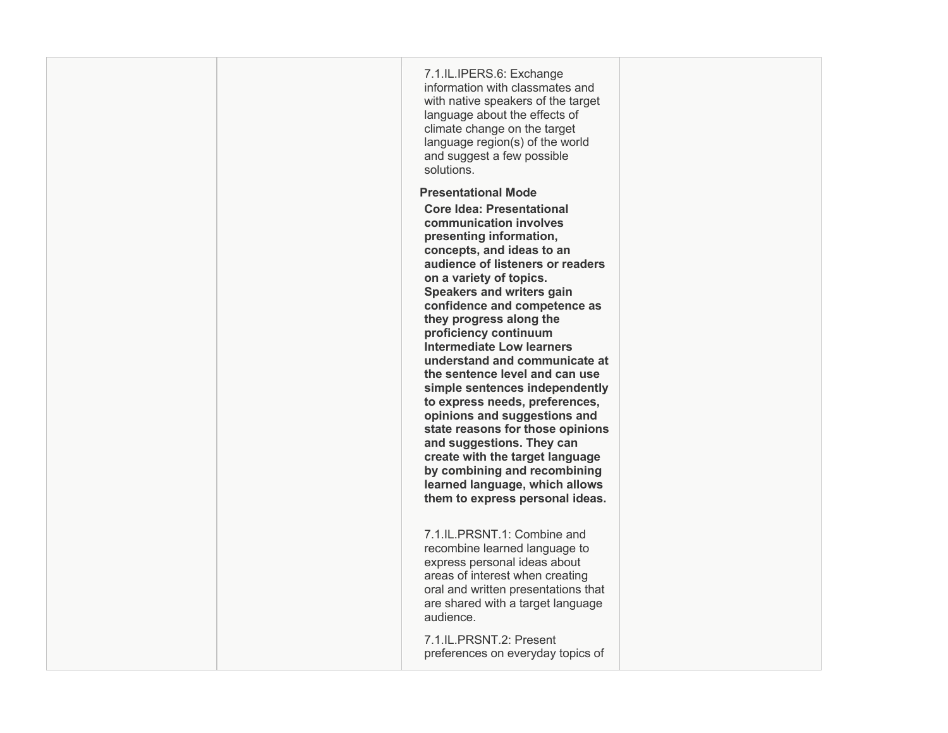|  | 7.1.IL.IPERS.6: Exchange<br>information with classmates and<br>with native speakers of the target<br>language about the effects of<br>climate change on the target<br>language region(s) of the world<br>and suggest a few possible<br>solutions.                                                                                                                                                                                                                                                                                                                                                                                                                                                                             |  |
|--|-------------------------------------------------------------------------------------------------------------------------------------------------------------------------------------------------------------------------------------------------------------------------------------------------------------------------------------------------------------------------------------------------------------------------------------------------------------------------------------------------------------------------------------------------------------------------------------------------------------------------------------------------------------------------------------------------------------------------------|--|
|  | <b>Presentational Mode</b>                                                                                                                                                                                                                                                                                                                                                                                                                                                                                                                                                                                                                                                                                                    |  |
|  | <b>Core Idea: Presentational</b><br>communication involves<br>presenting information,<br>concepts, and ideas to an<br>audience of listeners or readers<br>on a variety of topics.<br><b>Speakers and writers gain</b><br>confidence and competence as<br>they progress along the<br>proficiency continuum<br><b>Intermediate Low learners</b><br>understand and communicate at<br>the sentence level and can use<br>simple sentences independently<br>to express needs, preferences,<br>opinions and suggestions and<br>state reasons for those opinions<br>and suggestions. They can<br>create with the target language<br>by combining and recombining<br>learned language, which allows<br>them to express personal ideas. |  |
|  | 7.1.IL.PRSNT.1: Combine and<br>recombine learned language to<br>express personal ideas about<br>areas of interest when creating<br>oral and written presentations that<br>are shared with a target language<br>audience.                                                                                                                                                                                                                                                                                                                                                                                                                                                                                                      |  |
|  | 7.1.IL.PRSNT.2: Present<br>preferences on everyday topics of                                                                                                                                                                                                                                                                                                                                                                                                                                                                                                                                                                                                                                                                  |  |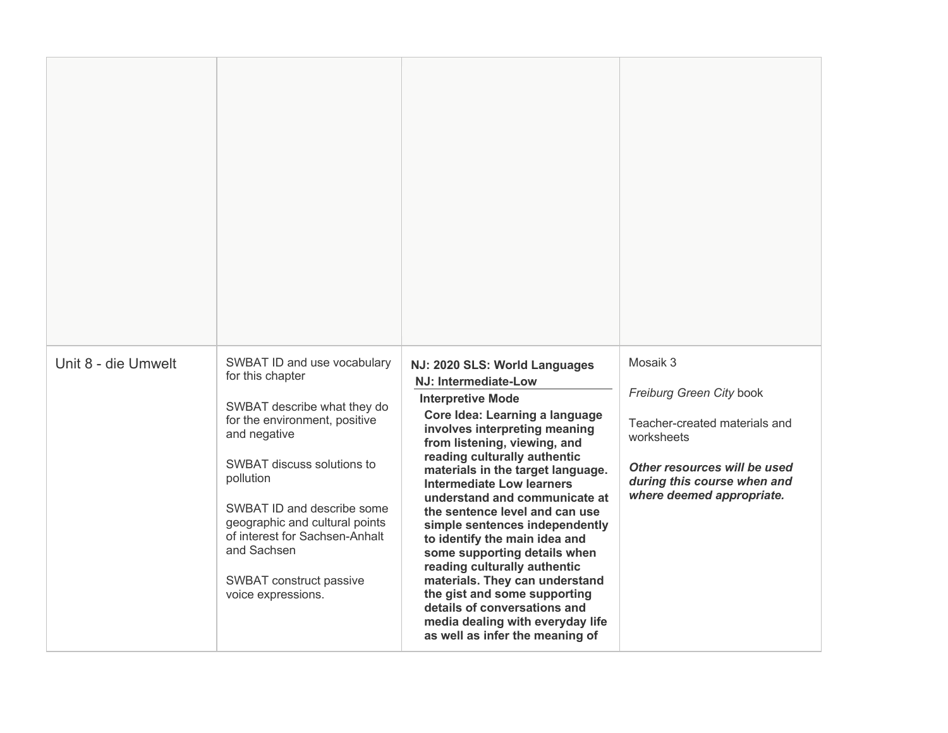| Unit 8 - die Umwelt | SWBAT ID and use vocabulary<br>for this chapter<br>SWBAT describe what they do<br>for the environment, positive<br>and negative<br>SWBAT discuss solutions to<br>pollution<br>SWBAT ID and describe some<br>geographic and cultural points<br>of interest for Sachsen-Anhalt<br>and Sachsen<br>SWBAT construct passive<br>voice expressions. | NJ: 2020 SLS: World Languages<br>NJ: Intermediate-Low<br><b>Interpretive Mode</b><br>Core Idea: Learning a language<br>involves interpreting meaning<br>from listening, viewing, and<br>reading culturally authentic<br>materials in the target language.<br><b>Intermediate Low learners</b><br>understand and communicate at<br>the sentence level and can use<br>simple sentences independently<br>to identify the main idea and<br>some supporting details when<br>reading culturally authentic<br>materials. They can understand<br>the gist and some supporting<br>details of conversations and<br>media dealing with everyday life<br>as well as infer the meaning of | Mosaik 3<br>Freiburg Green City book<br>Teacher-created materials and<br>worksheets<br>Other resources will be used<br>during this course when and<br>where deemed appropriate. |
|---------------------|----------------------------------------------------------------------------------------------------------------------------------------------------------------------------------------------------------------------------------------------------------------------------------------------------------------------------------------------|------------------------------------------------------------------------------------------------------------------------------------------------------------------------------------------------------------------------------------------------------------------------------------------------------------------------------------------------------------------------------------------------------------------------------------------------------------------------------------------------------------------------------------------------------------------------------------------------------------------------------------------------------------------------------|---------------------------------------------------------------------------------------------------------------------------------------------------------------------------------|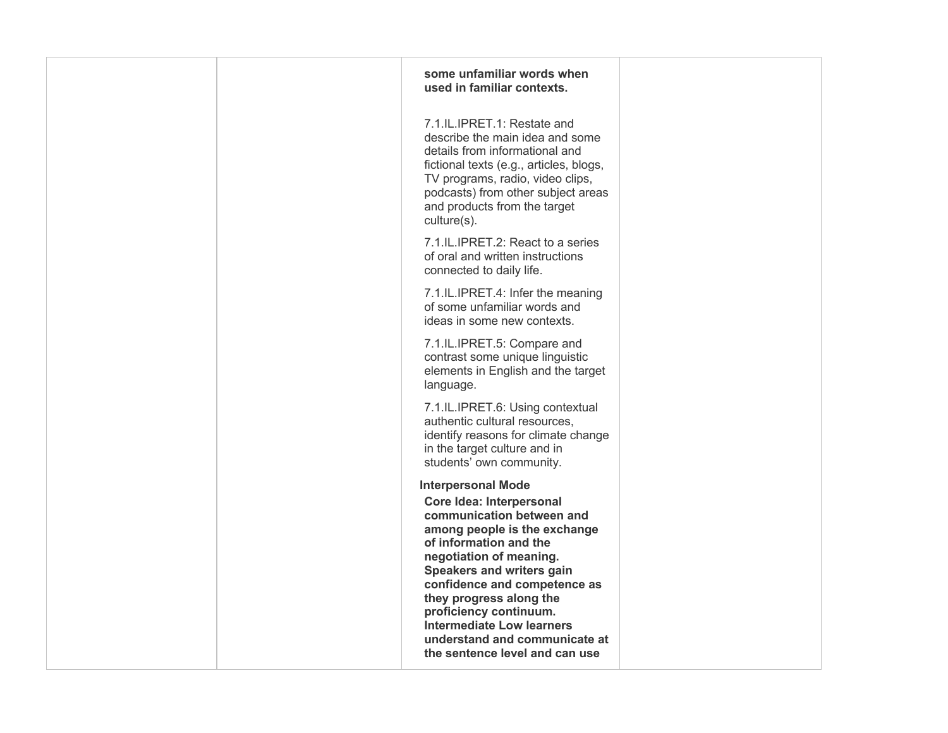| some unfamiliar words when<br>used in familiar contexts.                                                                                                                                                                                                                                                                                                       |                                |
|----------------------------------------------------------------------------------------------------------------------------------------------------------------------------------------------------------------------------------------------------------------------------------------------------------------------------------------------------------------|--------------------------------|
| 7.1.IL.IPRET.1: Restate and<br>describe the main idea and some<br>details from informational and<br>fictional texts (e.g., articles, blogs,<br>TV programs, radio, video clips,<br>podcasts) from other subject areas<br>and products from the target<br>culture(s).                                                                                           |                                |
| 7.1.IL.IPRET.2: React to a series<br>of oral and written instructions<br>connected to daily life.                                                                                                                                                                                                                                                              |                                |
| 7.1.IL.IPRET.4: Infer the meaning<br>of some unfamiliar words and<br>ideas in some new contexts.                                                                                                                                                                                                                                                               |                                |
| 7.1.IL.IPRET.5: Compare and<br>contrast some unique linguistic<br>elements in English and the target<br>language.                                                                                                                                                                                                                                              |                                |
| 7.1.IL.IPRET.6: Using contextual<br>authentic cultural resources,<br>identify reasons for climate change<br>in the target culture and in<br>students' own community.                                                                                                                                                                                           |                                |
| <b>Interpersonal Mode</b><br>Core Idea: Interpersonal<br>communication between and<br>among people is the exchange<br>of information and the<br>negotiation of meaning.<br>Speakers and writers gain<br>confidence and competence as<br>they progress along the<br>proficiency continuum.<br><b>Intermediate Low learners</b><br>understand and communicate at |                                |
|                                                                                                                                                                                                                                                                                                                                                                | the sentence level and can use |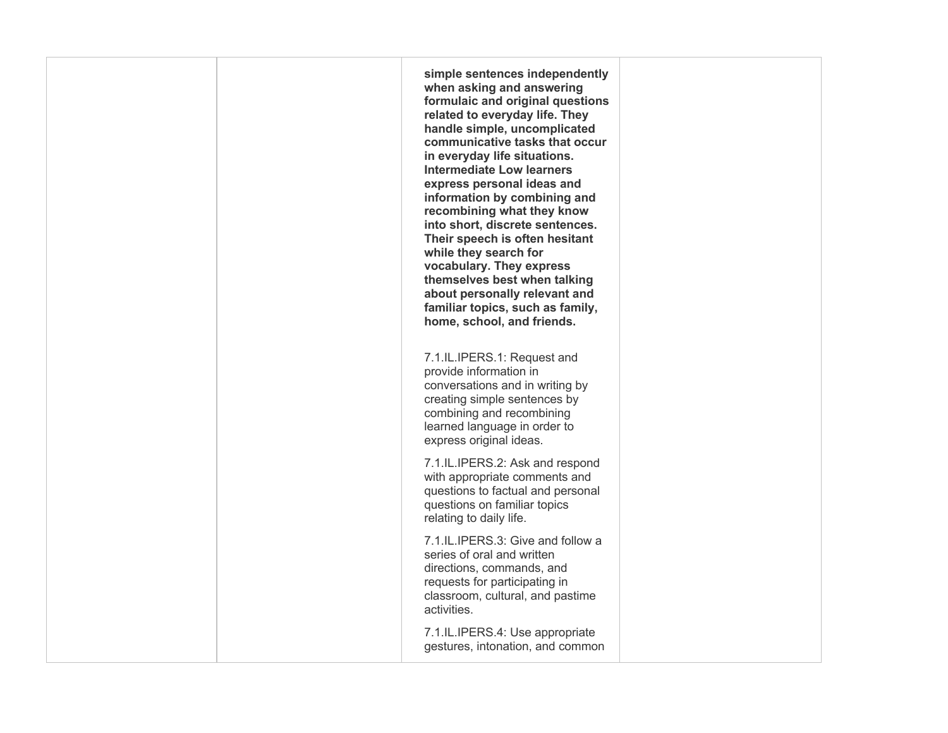**when asking and answering related to everyday life. They handle simple, uncomplicated communicative tasks that occur express personal ideas and recombining what they know Their speech is often hesitant while they search for about personally relevant and home, school, and friends.**  7.1.IL.IPERS.1: Request and learned language in order to **simple sentences independently formulaic and original questions in everyday life situations. Intermediate Low learners information by combining and into short, discrete sentences. vocabulary. They express themselves best when talking familiar topics, such as family,**  provide information in conversations and in writing by creating simple sentences by combining and recombining

 with appropriate comments and 7.1.IL.IPERS.2: Ask and respond questions to factual and personal questions on familiar topics relating to daily life.

express original ideas.

 series of oral and written classroom, cultural, and pastime 7.1.IL.IPERS.3: Give and follow a directions, commands, and requests for participating in activities.

 gestures, intonation, and common 7.1.IL.IPERS.4: Use appropriate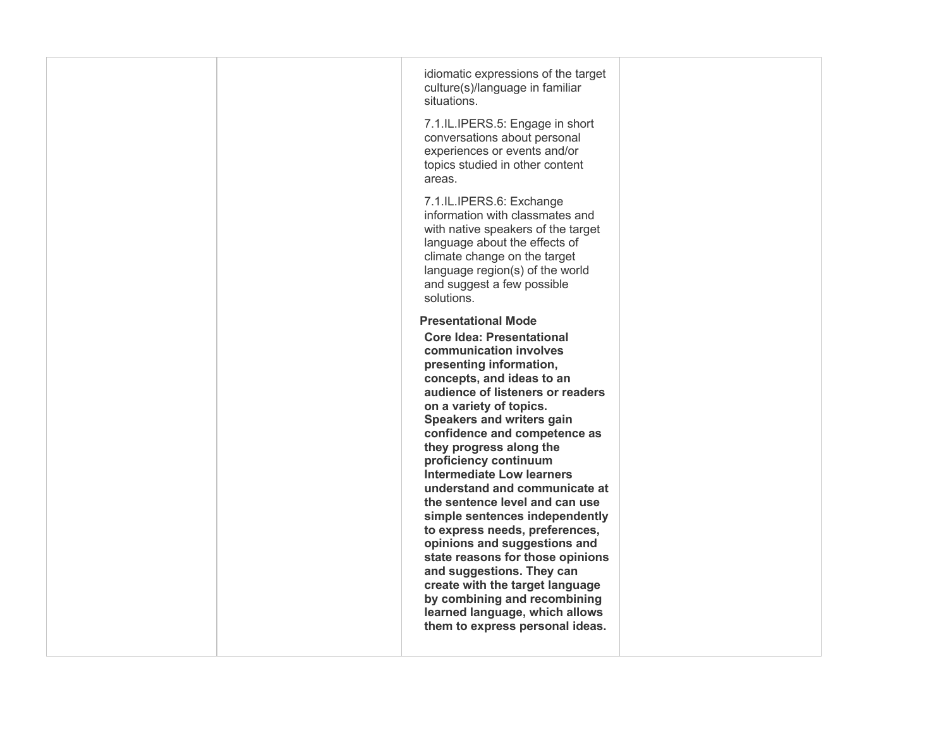| idiomatic expressions of the target<br>culture(s)/language in familiar<br>situations.<br>7.1.IL.IPERS.5: Engage in short<br>conversations about personal<br>experiences or events and/or<br>topics studied in other content<br>areas.                                                                                                                                                                                                                                                                                                                                                                                                                                                                                                                |
|------------------------------------------------------------------------------------------------------------------------------------------------------------------------------------------------------------------------------------------------------------------------------------------------------------------------------------------------------------------------------------------------------------------------------------------------------------------------------------------------------------------------------------------------------------------------------------------------------------------------------------------------------------------------------------------------------------------------------------------------------|
| 7.1.IL.IPERS.6: Exchange<br>information with classmates and<br>with native speakers of the target<br>language about the effects of<br>climate change on the target<br>language region(s) of the world<br>and suggest a few possible<br>solutions.                                                                                                                                                                                                                                                                                                                                                                                                                                                                                                    |
| <b>Presentational Mode</b><br><b>Core Idea: Presentational</b><br>communication involves<br>presenting information,<br>concepts, and ideas to an<br>audience of listeners or readers<br>on a variety of topics.<br>Speakers and writers gain<br>confidence and competence as<br>they progress along the<br>proficiency continuum<br><b>Intermediate Low learners</b><br>understand and communicate at<br>the sentence level and can use<br>simple sentences independently<br>to express needs, preferences,<br>opinions and suggestions and<br>state reasons for those opinions<br>and suggestions. They can<br>create with the target language<br>by combining and recombining<br>learned language, which allows<br>them to express personal ideas. |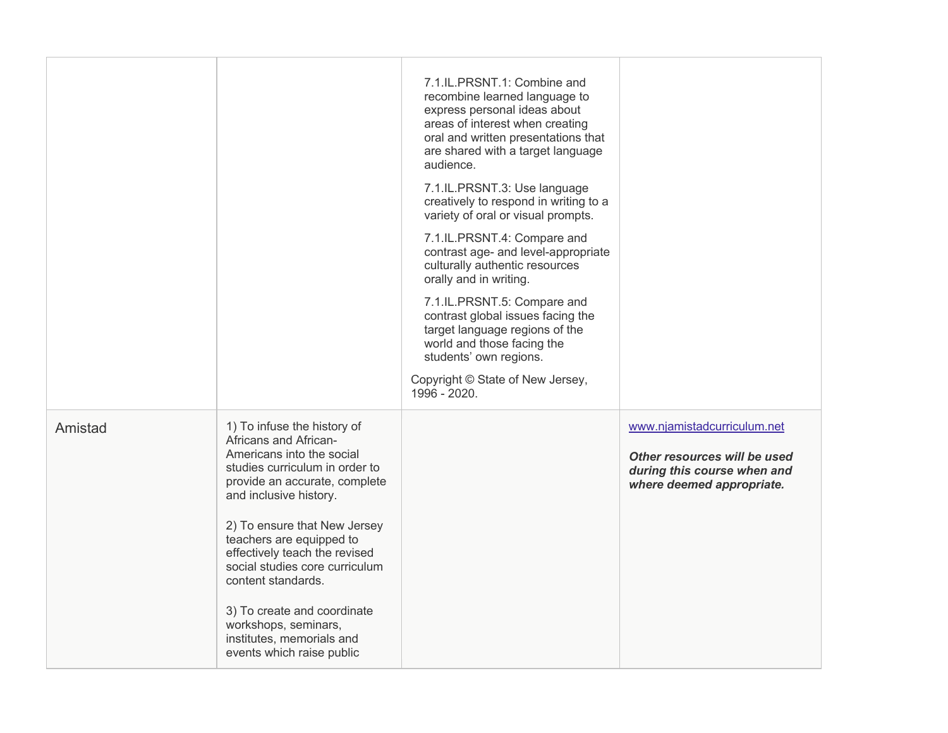|         |                                                                                                                                                                                                                                                                                                                                                                                                                                                      | 7.1.IL.PRSNT.1: Combine and<br>recombine learned language to<br>express personal ideas about<br>areas of interest when creating<br>oral and written presentations that<br>are shared with a target language<br>audience.<br>7.1.IL.PRSNT.3: Use language<br>creatively to respond in writing to a<br>variety of oral or visual prompts.<br>7.1.IL.PRSNT.4: Compare and<br>contrast age- and level-appropriate<br>culturally authentic resources<br>orally and in writing.<br>7.1.IL.PRSNT.5: Compare and<br>contrast global issues facing the<br>target language regions of the<br>world and those facing the<br>students' own regions.<br>Copyright © State of New Jersey,<br>1996 - 2020. |                                                                                                                         |
|---------|------------------------------------------------------------------------------------------------------------------------------------------------------------------------------------------------------------------------------------------------------------------------------------------------------------------------------------------------------------------------------------------------------------------------------------------------------|---------------------------------------------------------------------------------------------------------------------------------------------------------------------------------------------------------------------------------------------------------------------------------------------------------------------------------------------------------------------------------------------------------------------------------------------------------------------------------------------------------------------------------------------------------------------------------------------------------------------------------------------------------------------------------------------|-------------------------------------------------------------------------------------------------------------------------|
| Amistad | 1) To infuse the history of<br>Africans and African-<br>Americans into the social<br>studies curriculum in order to<br>provide an accurate, complete<br>and inclusive history.<br>2) To ensure that New Jersey<br>teachers are equipped to<br>effectively teach the revised<br>social studies core curriculum<br>content standards.<br>3) To create and coordinate<br>workshops, seminars,<br>institutes, memorials and<br>events which raise public |                                                                                                                                                                                                                                                                                                                                                                                                                                                                                                                                                                                                                                                                                             | www.njamistadcurriculum.net<br>Other resources will be used<br>during this course when and<br>where deemed appropriate. |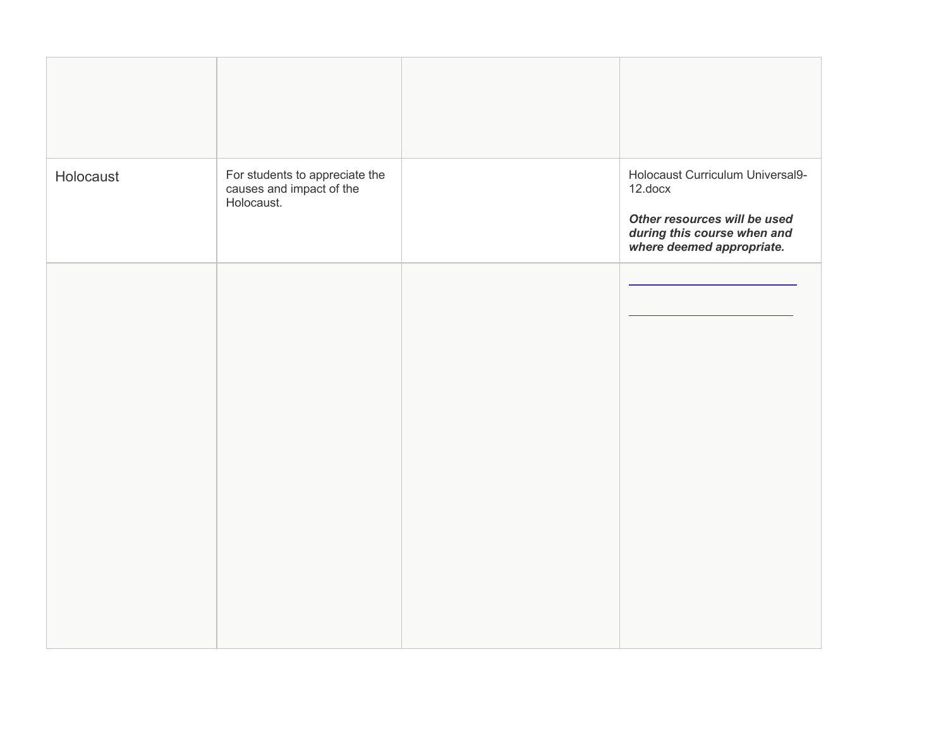| Holocaust | For students to appreciate the<br>causes and impact of the<br>Holocaust. | Holocaust Curriculum Universal9-<br>12.docx<br>Other resources will be used<br>during this course when and<br>where deemed appropriate. |
|-----------|--------------------------------------------------------------------------|-----------------------------------------------------------------------------------------------------------------------------------------|
|           |                                                                          |                                                                                                                                         |
|           |                                                                          |                                                                                                                                         |
|           |                                                                          |                                                                                                                                         |